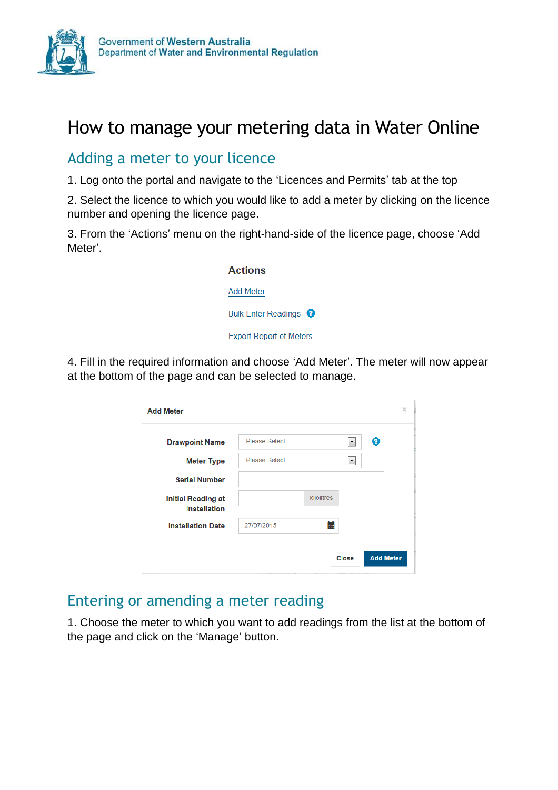

# How to manage your metering data in Water Online

### Adding a meter to your licence

1. Log onto the portal and navigate to the 'Licences and Permits' tab at the top

2. Select the licence to which you would like to add a meter by clicking on the licence number and opening the licence page.

3. From the 'Actions' menu on the right-hand-side of the licence page, choose 'Add Meter'.

| <b>Actions</b>                   |
|----------------------------------|
| <b>Add Meter</b>                 |
| Bulk Enter Readings <sup>9</sup> |
| <b>Export Report of Meters</b>   |

4. Fill in the required information and choose 'Add Meter'. The meter will now appear at the bottom of the page and can be selected to manage.

| <b>Drawpoint Name</b>                            | Please Select | Q<br>$\blacktriangledown$ |
|--------------------------------------------------|---------------|---------------------------|
| <b>Meter Type</b>                                | Please Select | ۰.                        |
| <b>Serial Number</b>                             |               |                           |
| <b>Initial Reading at</b><br><b>Installation</b> |               | kilolitres                |
| <b>Installation Date</b>                         | 27/07/2015    | 篇                         |

# Entering or amending a meter reading

1. Choose the meter to which you want to add readings from the list at the bottom of the page and click on the 'Manage' button.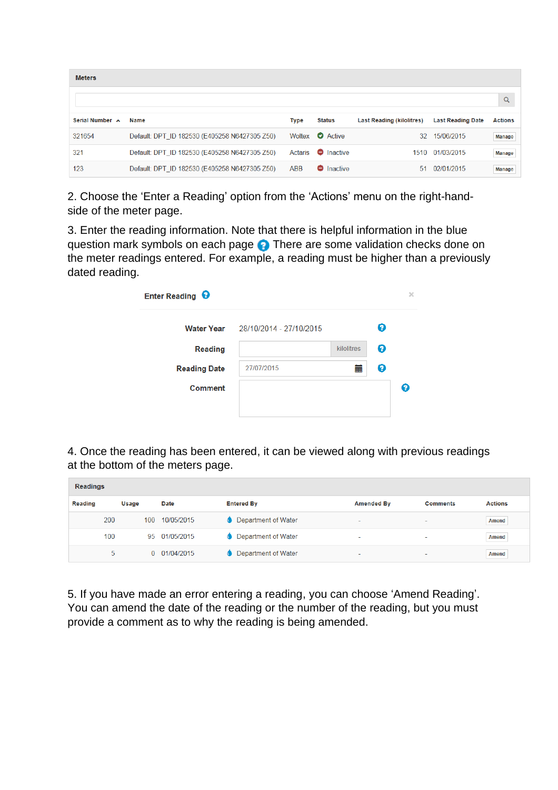| <b>Meters</b>   |                                               |         |                   |                                  |                          |                |
|-----------------|-----------------------------------------------|---------|-------------------|----------------------------------|--------------------------|----------------|
|                 |                                               |         |                   |                                  |                          | $\alpha$       |
| Serial Number A | <b>Name</b>                                   | Type    | <b>Status</b>     | <b>Last Reading (kilolitres)</b> | <b>Last Reading Date</b> | <b>Actions</b> |
| 321654          | Default: DPT_ID 182530 (E405258 N6427305 Z50) | Woltex  | <b>O</b> Active   | 32                               | 15/06/2015               | <b>Manage</b>  |
| 321             | Default: DPT ID 182530 (E405258 N6427305 Z50) | Actaris | <b>O</b> Inactive |                                  | 1510 01/03/2015          | <b>Manage</b>  |
| 123             | Default: DPT ID 182530 (E405258 N6427305 Z50) | ABB     | <b>O</b> Inactive | 51                               | 02/01/2015               | <b>Manage</b>  |

2. Choose the 'Enter a Reading' option from the 'Actions' menu on the right-handside of the meter page.

3. Enter the reading information. Note that there is helpful information in the blue question mark symbols on each page **.** There are some validation checks done on the meter readings entered. For example, a reading must be higher than a previously dated reading.

| Enter Reading <sup>9</sup> |                                    |            |   | × |
|----------------------------|------------------------------------|------------|---|---|
|                            | Water Year 28/10/2014 - 27/10/2015 |            | Ø |   |
| Reading                    |                                    | kilolitres | Ø |   |
| <b>Reading Date</b>        | 27/07/2015                         | 扁          | Q |   |
| Comment                    |                                    |            |   | Ø |
|                            |                                    |            |   |   |

4. Once the reading has been entered, it can be viewed along with previous readings at the bottom of the meters page.

| <b>Readings</b> |     |       |              |                     |                          |                          |                |
|-----------------|-----|-------|--------------|---------------------|--------------------------|--------------------------|----------------|
| <b>Reading</b>  |     | Usage | Date         | <b>Entered By</b>   | <b>Amended By</b>        | <b>Comments</b>          | <b>Actions</b> |
|                 | 200 | 100   | 10/05/2015   | Department of Water | $\overline{\phantom{0}}$ | $\overline{\phantom{a}}$ | <b>Amend</b>   |
|                 | 100 | 95    | 01/05/2015   | Department of Water | $\sim$                   | ٠                        | <b>Amend</b>   |
|                 | 5   |       | 0 01/04/2015 | Department of Water | $\overline{\phantom{a}}$ | ۰                        | <b>Amend</b>   |

5. If you have made an error entering a reading, you can choose 'Amend Reading'. You can amend the date of the reading or the number of the reading, but you must provide a comment as to why the reading is being amended.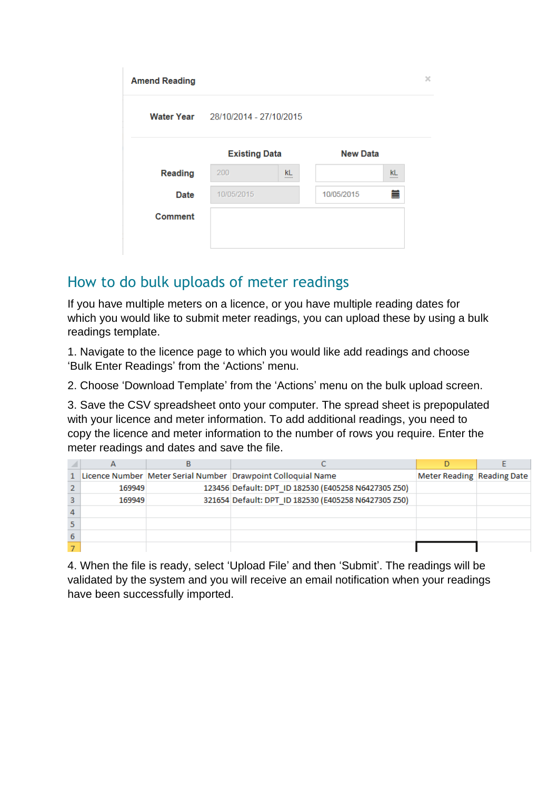|            |        |                                                            |               | ×               |
|------------|--------|------------------------------------------------------------|---------------|-----------------|
|            |        |                                                            |               |                 |
|            |        |                                                            |               |                 |
| 200        | kL<br> |                                                            | <b>kL</b><br> |                 |
| 10/05/2015 |        | 10/05/2015                                                 | 扁             |                 |
|            |        |                                                            |               |                 |
|            |        |                                                            |               |                 |
|            |        | Water Year 28/10/2014 - 27/10/2015<br><b>Existing Data</b> |               | <b>New Data</b> |

## How to do bulk uploads of meter readings

If you have multiple meters on a licence, or you have multiple reading dates for which you would like to submit meter readings, you can upload these by using a bulk readings template.

1. Navigate to the licence page to which you would like add readings and choose 'Bulk Enter Readings' from the 'Actions' menu.

2. Choose 'Download Template' from the 'Actions' menu on the bulk upload screen.

3. Save the CSV spreadsheet onto your computer. The spread sheet is prepopulated with your licence and meter information. To add additional readings, you need to copy the licence and meter information to the number of rows you require. Enter the meter readings and dates and save the file.

|        | Licence Number Meter Serial Number Drawpoint Colloquial Name | Meter Reading Reading Date |  |
|--------|--------------------------------------------------------------|----------------------------|--|
| 169949 | 123456 Default: DPT_ID 182530 (E405258 N6427305 Z50)         |                            |  |
| 169949 | 321654 Default: DPT ID 182530 (E405258 N6427305 Z50)         |                            |  |
|        |                                                              |                            |  |
|        |                                                              |                            |  |
|        |                                                              |                            |  |
|        |                                                              |                            |  |

4. When the file is ready, select 'Upload File' and then 'Submit'. The readings will be validated by the system and you will receive an email notification when your readings have been successfully imported.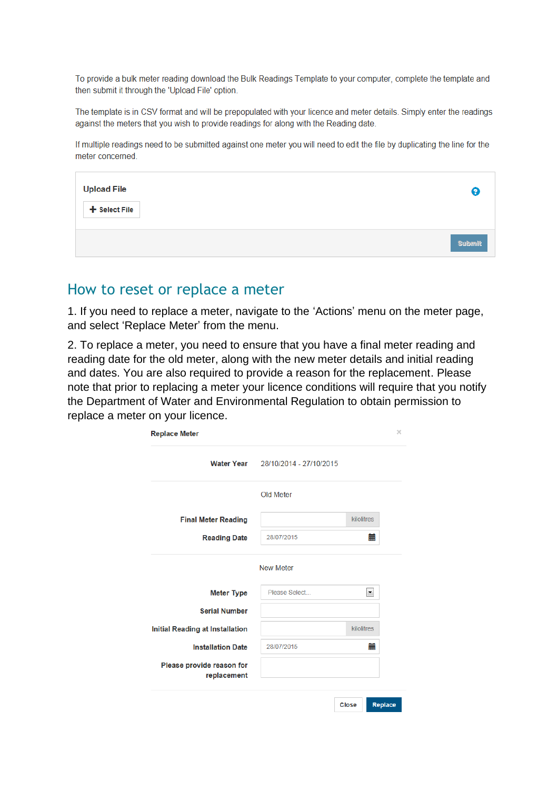To provide a bulk meter reading download the Bulk Readings Template to your computer, complete the template and then submit it through the 'Upload File' option.

The template is in CSV format and will be prepopulated with your licence and meter details. Simply enter the readings against the meters that you wish to provide readings for along with the Reading date.

If multiple readings need to be submitted against one meter you will need to edit the file by duplicating the line for the meter concerned.

| <b>Upload File</b> | (?            |
|--------------------|---------------|
| + Select File      |               |
|                    | <b>Submit</b> |

#### How to reset or replace a meter

1. If you need to replace a meter, navigate to the 'Actions' menu on the meter page, and select 'Replace Meter' from the menu.

2. To replace a meter, you need to ensure that you have a final meter reading and reading date for the old meter, along with the new meter details and initial reading and dates. You are also required to provide a reason for the replacement. Please note that prior to replacing a meter your licence conditions will require that you notify the Department of Water and Environmental Regulation to obtain permission to replace a meter on your licence.

|                                        | Water Year 28/10/2014 - 27/10/2015 |                          |
|----------------------------------------|------------------------------------|--------------------------|
|                                        | Old Meter                          |                          |
| <b>Final Meter Reading</b>             |                                    | kilolitres               |
| <b>Reading Date</b>                    | 28/07/2015                         | 盖                        |
|                                        |                                    |                          |
| <b>Meter Type</b>                      | Please Select                      | $\overline{\phantom{a}}$ |
| <b>Serial Number</b>                   |                                    |                          |
| <b>Initial Reading at Installation</b> |                                    | kilolitres               |
| <b>Installation Date</b>               | 28/07/2015                         | 萹                        |